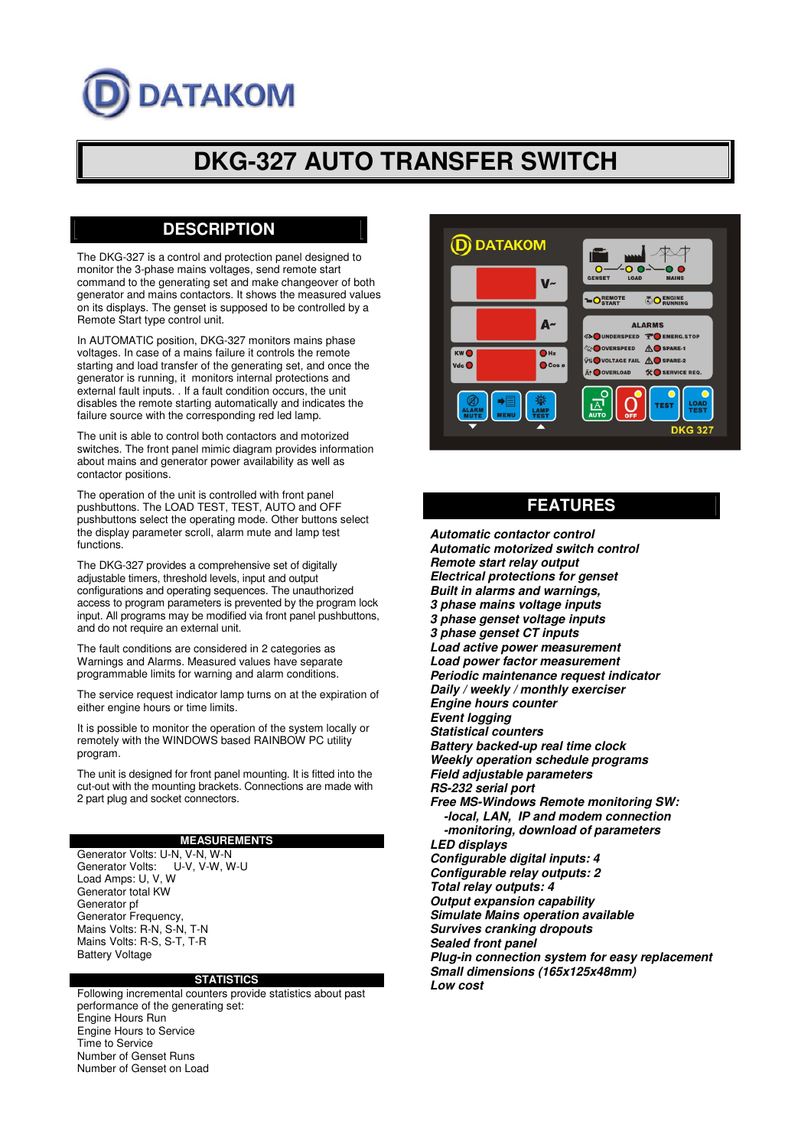# **DATAKOM**

# **DKG-327 AUTO TRANSFER SWITCH**

# **DESCRIPTION**

The DKG-327 is a control and protection panel designed to monitor the 3-phase mains voltages, send remote start command to the generating set and make changeover of both generator and mains contactors. It shows the measured values on its displays. The genset is supposed to be controlled by a Remote Start type control unit.

In AUTOMATIC position, DKG-327 monitors mains phase voltages. In case of a mains failure it controls the remote starting and load transfer of the generating set, and once the generator is running, it monitors internal protections and external fault inputs. . If a fault condition occurs, the unit disables the remote starting automatically and indicates the failure source with the corresponding red led lamp.

The unit is able to control both contactors and motorized switches. The front panel mimic diagram provides information about mains and generator power availability as well as contactor positions.

The operation of the unit is controlled with front panel pushbuttons. The LOAD TEST, TEST, AUTO and OFF pushbuttons select the operating mode. Other buttons select the display parameter scroll, alarm mute and lamp test functions.

The DKG-327 provides a comprehensive set of digitally adjustable timers, threshold levels, input and output configurations and operating sequences. The unauthorized access to program parameters is prevented by the program lock input. All programs may be modified via front panel pushbuttons, and do not require an external unit.

The fault conditions are considered in 2 categories as Warnings and Alarms. Measured values have separate programmable limits for warning and alarm conditions.

The service request indicator lamp turns on at the expiration of either engine hours or time limits.

It is possible to monitor the operation of the system locally or remotely with the WINDOWS based RAINBOW PC utility program.

The unit is designed for front panel mounting. It is fitted into the cut-out with the mounting brackets. Connections are made with 2 part plug and socket connectors.

#### **MEASUREMENTS**

Generator Volts: U-N, V-N, W-N<br>Generator Volts: U-V, V-W, W-U Generator Volts: Load Amps: U, V, W Generator total KW Generator pf Generator Frequency, Mains Volts: R-N, S-N, T-N Mains Volts: R-S, S-T, T-R Battery Voltage

#### **STATISTICS**

Following incremental counters provide statistics about past performance of the generating set: Engine Hours Run Engine Hours to Service Time to Service Number of Genset Runs Number of Genset on Load



# **FEATURES**

*Automatic contactor control Automatic motorized switch control Remote start relay output Electrical protections for genset Built in alarms and warnings, 3 phase mains voltage inputs 3 phase genset voltage inputs 3 phase genset CT inputs Load active power measurement Load power factor measurement Periodic maintenance request indicator Daily / weekly / monthly exerciser Engine hours counter Event logging Statistical counters Battery backed-up real time clock Weekly operation schedule programs Field adjustable parameters RS-232 serial port Free MS-Windows Remote monitoring SW: -local, LAN, IP and modem connection -monitoring, download of parameters LED displays Configurable digital inputs: 4 Configurable relay outputs: 2 Total relay outputs: 4 Output expansion capability Simulate Mains operation available Survives cranking dropouts Sealed front panel Plug-in connection system for easy replacement Small dimensions (165x125x48mm) Low cost*